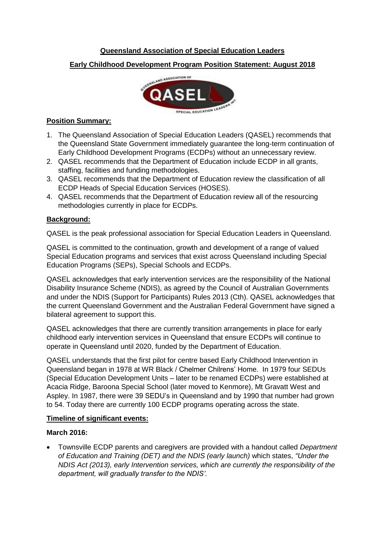# **Queensland Association of Special Education Leaders**

**Early Childhood Development Program Position Statement: August 2018**



# **Position Summary:**

- 1. The Queensland Association of Special Education Leaders (QASEL) recommends that the Queensland State Government immediately guarantee the long-term continuation of Early Childhood Development Programs (ECDPs) without an unnecessary review.
- 2. QASEL recommends that the Department of Education include ECDP in all grants, staffing, facilities and funding methodologies.
- 3. QASEL recommends that the Department of Education review the classification of all ECDP Heads of Special Education Services (HOSES).
- 4. QASEL recommends that the Department of Education review all of the resourcing methodologies currently in place for ECDPs.

## **Background:**

QASEL is the peak professional association for Special Education Leaders in Queensland.

QASEL is committed to the continuation, growth and development of a range of valued Special Education programs and services that exist across Queensland including Special Education Programs (SEPs), Special Schools and ECDPs.

QASEL acknowledges that early intervention services are the responsibility of the National Disability Insurance Scheme (NDIS), as agreed by the Council of Australian Governments and under the NDIS (Support for Participants) Rules 2013 (Cth). QASEL acknowledges that the current Queensland Government and the Australian Federal Government have signed a bilateral agreement to support this.

QASEL acknowledges that there are currently transition arrangements in place for early childhood early intervention services in Queensland that ensure ECDPs will continue to operate in Queensland until 2020, funded by the Department of Education.

QASEL understands that the first pilot for centre based Early Childhood Intervention in Queensland began in 1978 at WR Black / Chelmer Chilrens' Home. In 1979 four SEDUs (Special Education Development Units – later to be renamed ECDPs) were established at Acacia Ridge, Baroona Special School (later moved to Kenmore), Mt Gravatt West and Aspley. In 1987, there were 39 SEDU's in Queensland and by 1990 that number had grown to 54. Today there are currently 100 ECDP programs operating across the state.

#### **Timeline of significant events:**

#### **March 2016:**

 Townsville ECDP parents and caregivers are provided with a handout called *Department of Education and Training (DET) and the NDIS (early launch)* which states, *"Under the NDIS Act (2013), early Intervention services, which are currently the responsibility of the department, will gradually transfer to the NDIS'.*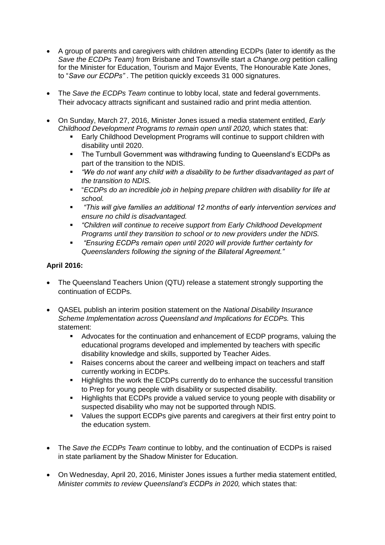- A group of parents and caregivers with children attending ECDPs (later to identify as the *Save the ECDPs Team)* from Brisbane and Townsville start a *Change.org* petition calling for the Minister for Education, Tourism and Major Events, The Honourable Kate Jones, to "*Save our ECDPs"* . The petition quickly exceeds 31 000 signatures.
- The *Save the ECDPs Team* continue to lobby local, state and federal governments. Their advocacy attracts significant and sustained radio and print media attention.
- On Sunday, March 27, 2016, Minister Jones issued a media statement entitled, *Early Childhood Development Programs to remain open until 2020,* which states that:
	- Early Childhood Development Programs will continue to support children with disability until 2020.
	- The Turnbull Government was withdrawing funding to Queensland's ECDPs as part of the transition to the NDIS.
	- *"We do not want any child with a disability to be further disadvantaged as part of the transition to NDIS.*
	- "*ECDPs do an incredible job in helping prepare children with disability for life at school.*
	- *"This will give families an additional 12 months of early intervention services and ensure no child is disadvantaged.*
	- *"Children will continue to receive support from Early Childhood Development Programs until they transition to school or to new providers under the NDIS.*
	- *"Ensuring ECDPs remain open until 2020 will provide further certainty for Queenslanders following the signing of the Bilateral Agreement."*

# **April 2016:**

- The Queensland Teachers Union (QTU) release a statement strongly supporting the continuation of ECDPs.
- QASEL publish an interim position statement on the *National Disability Insurance Scheme Implementation across Queensland and Implications for ECDPs.* This statement:
	- Advocates for the continuation and enhancement of ECDP programs, valuing the educational programs developed and implemented by teachers with specific disability knowledge and skills, supported by Teacher Aides.
	- Raises concerns about the career and wellbeing impact on teachers and staff currently working in ECDPs.
	- **Highlights the work the ECDPs currently do to enhance the successful transition** to Prep for young people with disability or suspected disability.
	- Highlights that ECDPs provide a valued service to young people with disability or suspected disability who may not be supported through NDIS.
	- Values the support ECDPs give parents and caregivers at their first entry point to the education system.
- The *Save the ECDPs Team* continue to lobby, and the continuation of ECDPs is raised in state parliament by the Shadow Minister for Education.
- On Wednesday, April 20, 2016, Minister Jones issues a further media statement entitled, *Minister commits to review Queensland's ECDPs in 2020,* which states that: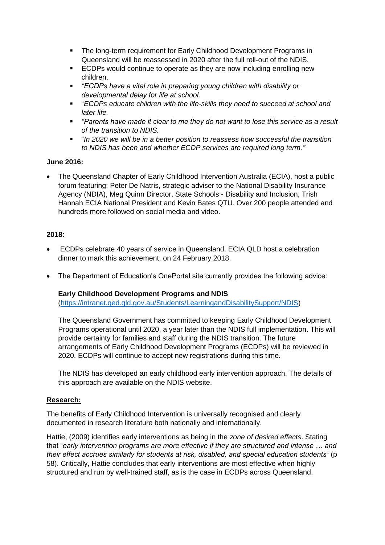- The long-term requirement for Early Childhood Development Programs in Queensland will be reassessed in 2020 after the full roll-out of the NDIS.
- **ECDPs would continue to operate as they are now including enrolling new** children.
- *"ECDPs have a vital role in preparing young children with disability or developmental delay for life at school.*
- "*ECDPs educate children with the life-skills they need to succeed at school and later life.*
- *"Parents have made it clear to me they do not want to lose this service as a result of the transition to NDIS.*
- "*In 2020 we will be in a better position to reassess how successful the transition to NDIS has been and whether ECDP services are required long term."*

## **June 2016:**

 The Queensland Chapter of Early Childhood Intervention Australia (ECIA), host a public forum featuring; Peter De Natris, strategic adviser to the National Disability Insurance Agency (NDIA), Meg Quinn Director, State Schools - Disability and Inclusion, Trish Hannah ECIA National President and Kevin Bates QTU. Over 200 people attended and hundreds more followed on social media and video.

## **2018:**

- ECDPs celebrate 40 years of service in Queensland. ECIA QLD host a celebration dinner to mark this achievement, on 24 February 2018.
- The Department of Education's OnePortal site currently provides the following advice:

#### **Early Childhood Development Programs and NDIS**

[\(https://intranet.qed.qld.gov.au/Students/LearningandDisabilitySupport/NDIS\)](https://intranet.qed.qld.gov.au/Students/LearningandDisabilitySupport/NDIS)

The Queensland Government has committed to keeping [Early Childhood Development](http://education.qld.gov.au/schools/disability/early-childhood-development-services.html)  [Programs](http://education.qld.gov.au/schools/disability/early-childhood-development-services.html) operational until 2020, a year later than the NDIS full implementation. This will provide certainty for families and staff during the NDIS transition. The future arrangements of Early Childhood Development Programs (ECDPs) will be reviewed in 2020. ECDPs will continue to accept new registrations during this time.

The NDIS has developed an early childhood early intervention approach. The details of this approach are available on the [NDIS website.](https://www.ndis.gov.au/about-us/our-sites/QLD.html#early)

# **Research:**

The benefits of Early Childhood Intervention is universally recognised and clearly documented in research literature both nationally and internationally.

Hattie, (2009) identifies early interventions as being in the *zone of desired effects*. Stating that "*early intervention programs are more effective if they are structured and intense … and their effect accrues similarly for students at risk, disabled, and special education students"* (p 58). Critically, Hattie concludes that early interventions are most effective when highly structured and run by well-trained staff, as is the case in ECDPs across Queensland.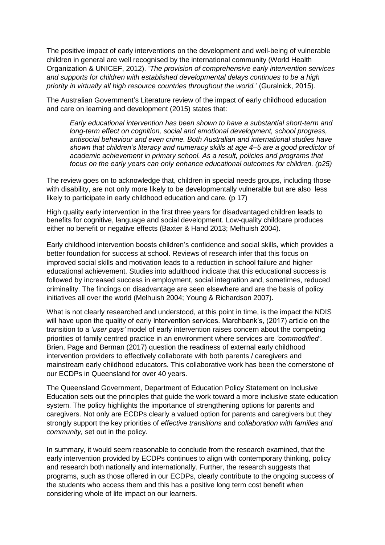The positive impact of early interventions on the development and well-being of vulnerable children in general are well recognised by the international community (World Health Organization & UNICEF, 2012). '*The provision of comprehensive early intervention services and supports for children with established developmental delays continues to be a high priority in virtually all high resource countries throughout the world.*' (Guralnick, 2015).

The Australian Government's Literature review of the impact of early childhood education and care on learning and development (2015) states that:

*Early educational intervention has been shown to have a substantial short-term and long-term effect on cognition, social and emotional development, school progress, antisocial behaviour and even crime. Both Australian and international studies have shown that children's literacy and numeracy skills at age 4–5 are a good predictor of academic achievement in primary school. As a result, policies and programs that focus on the early years can only enhance educational outcomes for children. (p25)*

The review goes on to acknowledge that, children in special needs groups, including those with disability, are not only more likely to be developmentally vulnerable but are also less likely to participate in early childhood education and care. (p 17)

High quality early intervention in the first three years for disadvantaged children leads to benefits for cognitive, language and social development. Low-quality childcare produces either no benefit or negative effects (Baxter & Hand 2013; Melhuish 2004).

Early childhood intervention boosts children's confidence and social skills, which provides a better foundation for success at school. Reviews of research infer that this focus on improved social skills and motivation leads to a reduction in school failure and higher educational achievement. Studies into adulthood indicate that this educational success is followed by increased success in employment, social integration and, sometimes, reduced criminality. The findings on disadvantage are seen elsewhere and are the basis of policy initiatives all over the world (Melhuish 2004; Young & Richardson 2007).

What is not clearly researched and understood, at this point in time, is the impact the NDIS will have upon the quality of early intervention services. Marchbank's, (2017) article on the transition to a *'user pays'* model of early intervention raises concern about the competing priorities of family centred practice in an environment where services are *'commodified'*. Brien, Page and Berman (2017) question the readiness of external early childhood intervention providers to effectively collaborate with both parents / caregivers and mainstream early childhood educators. This collaborative work has been the cornerstone of our ECDPs in Queensland for over 40 years.

The Queensland Government, Department of Education Policy Statement on Inclusive Education sets out the principles that guide the work toward a more inclusive state education system. The policy highlights the importance of strengthening options for parents and caregivers. Not only are ECDPs clearly a valued option for parents and caregivers but they strongly support the key priorities of *effective transitions* and *collaboration with families and community,* set out in the policy.

In summary, it would seem reasonable to conclude from the research examined, that the early intervention provided by ECDPs continues to align with contemporary thinking, policy and research both nationally and internationally. Further, the research suggests that programs, such as those offered in our ECDPs, clearly contribute to the ongoing success of the students who access them and this has a positive long term cost benefit when considering whole of life impact on our learners.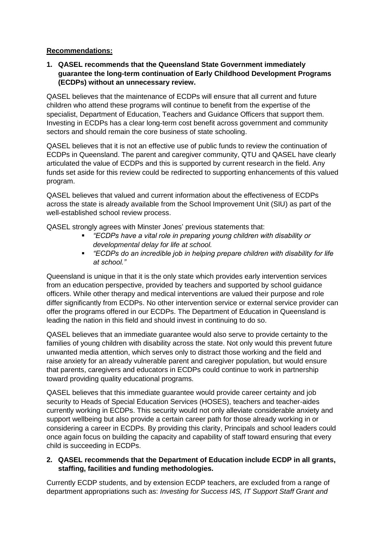## **Recommendations:**

**1. QASEL recommends that the Queensland State Government immediately guarantee the long-term continuation of Early Childhood Development Programs (ECDPs) without an unnecessary review.**

QASEL believes that the maintenance of ECDPs will ensure that all current and future children who attend these programs will continue to benefit from the expertise of the specialist, Department of Education, Teachers and Guidance Officers that support them. Investing in ECDPs has a clear long-term cost benefit across government and community sectors and should remain the core business of state schooling.

QASEL believes that it is not an effective use of public funds to review the continuation of ECDPs in Queensland. The parent and caregiver community, QTU and QASEL have clearly articulated the value of ECDPs and this is supported by current research in the field. Any funds set aside for this review could be redirected to supporting enhancements of this valued program.

QASEL believes that valued and current information about the effectiveness of ECDPs across the state is already available from the School Improvement Unit (SIU) as part of the well-established school review process.

QASEL strongly agrees with Minster Jones' previous statements that:

- *"ECDPs have a vital role in preparing young children with disability or developmental delay for life at school.*
- *"ECDPs do an incredible job in helping prepare children with disability for life at school."*

Queensland is unique in that it is the only state which provides early intervention services from an education perspective, provided by teachers and supported by school guidance officers. While other therapy and medical interventions are valued their purpose and role differ significantly from ECDPs. No other intervention service or external service provider can offer the programs offered in our ECDPs. The Department of Education in Queensland is leading the nation in this field and should invest in continuing to do so.

QASEL believes that an immediate guarantee would also serve to provide certainty to the families of young children with disability across the state. Not only would this prevent future unwanted media attention, which serves only to distract those working and the field and raise anxiety for an already vulnerable parent and caregiver population, but would ensure that parents, caregivers and educators in ECDPs could continue to work in partnership toward providing quality educational programs.

QASEL believes that this immediate guarantee would provide career certainty and job security to Heads of Special Education Services (HOSES), teachers and teacher-aides currently working in ECDPs. This security would not only alleviate considerable anxiety and support wellbeing but also provide a certain career path for those already working in or considering a career in ECDPs. By providing this clarity, Principals and school leaders could once again focus on building the capacity and capability of staff toward ensuring that every child is succeeding in ECDPs.

## **2. QASEL recommends that the Department of Education include ECDP in all grants, staffing, facilities and funding methodologies.**

Currently ECDP students, and by extension ECDP teachers, are excluded from a range of department appropriations such as: *Investing for Success I4S, IT Support Staff Grant and*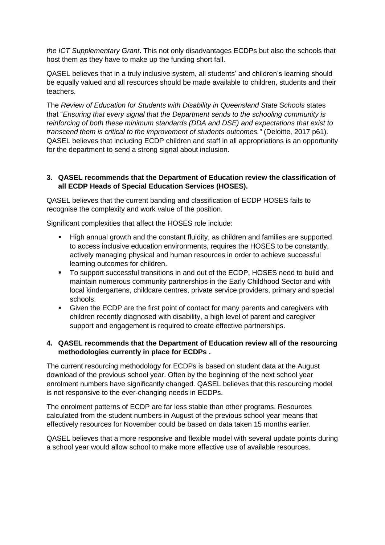*the ICT Supplementary Grant*. This not only disadvantages ECDPs but also the schools that host them as they have to make up the funding short fall.

QASEL believes that in a truly inclusive system, all students' and children's learning should be equally valued and all resources should be made available to children, students and their teachers.

The *Review of Education for Students with Disability in Queensland State Schools* states that "*Ensuring that every signal that the Department sends to the schooling community is reinforcing of both these minimum standards (DDA and DSE) and expectations that exist to transcend them is critical to the improvement of students outcomes."* (Deloitte, 2017 p61). QASEL believes that including ECDP children and staff in all appropriations is an opportunity for the department to send a strong signal about inclusion.

### **3. QASEL recommends that the Department of Education review the classification of all ECDP Heads of Special Education Services (HOSES).**

QASEL believes that the current banding and classification of ECDP HOSES fails to recognise the complexity and work value of the position.

Significant complexities that affect the HOSES role include:

- High annual growth and the constant fluidity, as children and families are supported to access inclusive education environments, requires the HOSES to be constantly, actively managing physical and human resources in order to achieve successful learning outcomes for children.
- To support successful transitions in and out of the ECDP, HOSES need to build and maintain numerous community partnerships in the Early Childhood Sector and with local kindergartens, childcare centres, private service providers, primary and special schools.
- Given the ECDP are the first point of contact for many parents and caregivers with children recently diagnosed with disability, a high level of parent and caregiver support and engagement is required to create effective partnerships.

#### **4. QASEL recommends that the Department of Education review all of the resourcing methodologies currently in place for ECDPs .**

The current resourcing methodology for ECDPs is based on student data at the August download of the previous school year. Often by the beginning of the next school year enrolment numbers have significantly changed. QASEL believes that this resourcing model is not responsive to the ever-changing needs in ECDPs.

The enrolment patterns of ECDP are far less stable than other programs. Resources calculated from the student numbers in August of the previous school year means that effectively resources for November could be based on data taken 15 months earlier.

QASEL believes that a more responsive and flexible model with several update points during a school year would allow school to make more effective use of available resources.